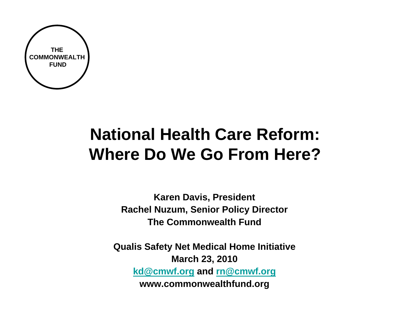

# **National Health Care Reform: Where Do We Go From Here?**

**Karen Davis, President Rachel Nuzum, Senior Policy Director The Commonwealth Fund**

**Qualis Safety Net Medical Home Initiative March 23, 2010 [kd@cmwf.org](mailto:kd@cmwf.org) and [rn@cmwf.org](mailto:rn@cmwf.org) www.commonwealthfund.org**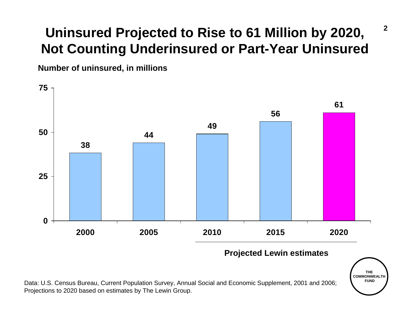### **Uninsured Projected to Rise to 61 Million by 2020, Not Counting Underinsured or Part-Year Uninsured**

**Number of uninsured, in millions**



Data: U.S. Census Bureau, Current Population Survey, Annual Social and Economic Supplement, 2001 and 2006; Projections to 2020 based on estimates by The Lewin Group.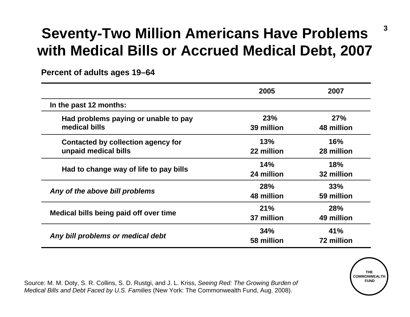### **Seventy-Two Million Americans Have Problems with Medical Bills or Accrued Medical Debt, 2007**

**Percent of adults ages 19–64**

|                                                                   | 2005                     | 2007                     |
|-------------------------------------------------------------------|--------------------------|--------------------------|
| In the past 12 months:                                            |                          |                          |
| Had problems paying or unable to pay<br>medical bills             | 23%<br>39 million        | 27%<br>48 million        |
| <b>Contacted by collection agency for</b><br>unpaid medical bills | 13%<br>22 million        | 16%<br>28 million        |
| Had to change way of life to pay bills                            | 14%<br>24 million        | 18%<br>32 million        |
| Any of the above bill problems                                    | <b>28%</b><br>48 million | 33%<br>59 million        |
| Medical bills being paid off over time                            | 21%<br>37 million        | <b>28%</b><br>49 million |
| Any bill problems or medical debt                                 | 34%<br>58 million        | 41%<br>72 million        |

Source: M. M. Doty, S. R. Collins, S. D. Rustgi, and J. L. Kriss, *Seeing Red: The Growing Burden of Medical Bills and Debt Faced by U.S. Families* (New York: The Commonwealth Fund, Aug. 2008).

**THE COMMONWEALTHFUND**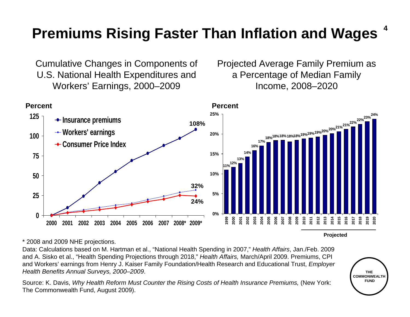### **Premiums Rising Faster Than Inflation and Wages**

Cumulative Changes in Components of U.S. National Health Expenditures and Workers' Earnings, 2000–2009

Projected Average Family Premium as a Percentage of Median Family Income, 2008–2020



**Projected**

\* 2008 and 2009 NHE projections.

Data: Calculations based on M. Hartman et al., "National Health Spending in 2007," *Health Affairs*, Jan./Feb. 2009 and A. Sisko et al., "Health Spending Projections through 2018," *Health Affairs,* March/April 2009. Premiums, CPI and Workers' earnings from Henry J. Kaiser Family Foundation/Health Research and Educational Trust, *Employer Health Benefits Annual Surveys, 2000–2009*.

Source: K. Davis, *Why Health Reform Must Counter the Rising Costs of Health Insurance Premiums, (New York:* The Commonwealth Fund, August 2009).

**THE COMMONWEALTHFUND**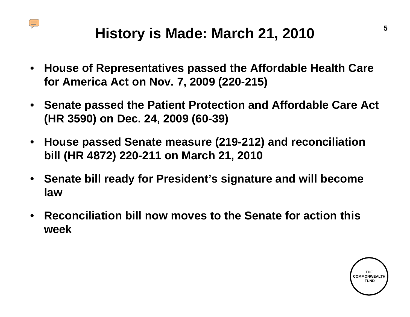

### **History is Made: March 21, 2010**

- **House of Representatives passed the Affordable Health Care for America Act on Nov. 7, 2009 (220-215)**
- **Senate passed the Patient Protection and Affordable Care Act (HR 3590) on Dec. 24, 2009 (60-39)**
- **House passed Senate measure (219-212) and reconciliation bill (HR 4872) 220-211 on March 21, 2010**
- **Senate bill ready for President's signature and will become law**
- **Reconciliation bill now moves to the Senate for action this week**

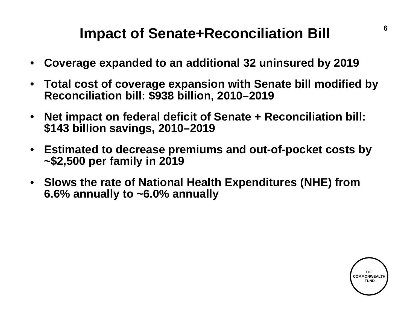### **Impact of Senate+Reconciliation Bill**

- **Coverage expanded to an additional 32 uninsured by 2019**
- **Total cost of coverage expansion with Senate bill modified by Reconciliation bill: \$938 billion, 2010–2019**
- **Net impact on federal deficit of Senate + Reconciliation bill: \$143 billion savings, 2010–2019**
- **Estimated to decrease premiums and out-of-pocket costs by ~\$2,500 per family in 2019**
- **Slows the rate of National Health Expenditures (NHE) from 6.6% annually to ~6.0% annually**

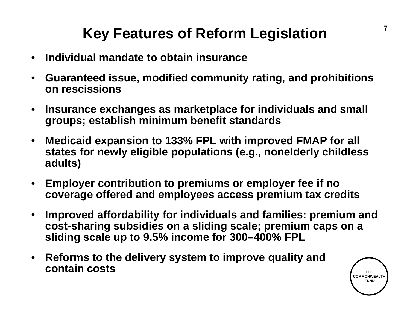### **Key Features of Reform Legislation**

- **Individual mandate to obtain insurance**
- **Guaranteed issue, modified community rating, and prohibitions on rescissions**
- **Insurance exchanges as marketplace for individuals and small groups; establish minimum benefit standards**
- **Medicaid expansion to 133% FPL with improved FMAP for all states for newly eligible populations (e.g., nonelderly childless adults)**
- **Employer contribution to premiums or employer fee if no coverage offered and employees access premium tax credits**
- **Improved affordability for individuals and families: premium and cost-sharing subsidies on a sliding scale; premium caps on a sliding scale up to 9.5% income for 300–400% FPL**
- **Reforms to the delivery system to improve quality and contain costs**

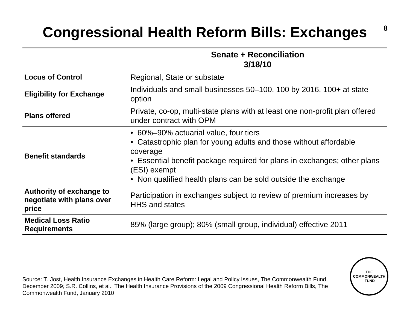### **Congressional Health Reform Bills: Exchanges**

#### **Senate + Reconciliation 3/18/10**

**8**

**THE COMMONWEALTH FUND**

| <b>Locus of Control</b>                                        | Regional, State or substate                                                                                                                                                                                                                                                         |
|----------------------------------------------------------------|-------------------------------------------------------------------------------------------------------------------------------------------------------------------------------------------------------------------------------------------------------------------------------------|
| <b>Eligibility for Exchange</b>                                | Individuals and small businesses 50-100, 100 by 2016, 100+ at state<br>option                                                                                                                                                                                                       |
| <b>Plans offered</b>                                           | Private, co-op, multi-state plans with at least one non-profit plan offered<br>under contract with OPM                                                                                                                                                                              |
| <b>Benefit standards</b>                                       | • 60%-90% actuarial value, four tiers<br>• Catastrophic plan for young adults and those without affordable<br>coverage<br>• Essential benefit package required for plans in exchanges; other plans<br>(ESI) exempt<br>• Non qualified health plans can be sold outside the exchange |
| Authority of exchange to<br>negotiate with plans over<br>price | Participation in exchanges subject to review of premium increases by<br><b>HHS and states</b>                                                                                                                                                                                       |
| <b>Medical Loss Ratio</b><br><b>Requirements</b>               | 85% (large group); 80% (small group, individual) effective 2011                                                                                                                                                                                                                     |

Source: T. Jost, Health Insurance Exchanges in Health Care Reform: Legal and Policy Issues, The Commonwealth Fund, December 2009*;* S.R. Collins, et al., The Health Insurance Provisions of the 2009 Congressional Health Reform Bills, The Commonwealth Fund, January 2010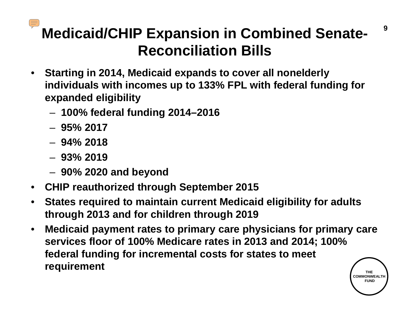# **Medicaid/CHIP Expansion in Combined Senate-Reconciliation Bills**

- **Starting in 2014, Medicaid expands to cover all nonelderly individuals with incomes up to 133% FPL with federal funding for expanded eligibility**
	- **100% federal funding 2014–2016**
	- **95% 2017**
	- **94% 2018**
	- **93% 2019**
	- **90% 2020 and beyond**
- **CHIP reauthorized through September 2015**
- **States required to maintain current Medicaid eligibility for adults through 2013 and for children through 2019**
- **THE** • **Medicaid payment rates to primary care physicians for primary care services floor of 100% Medicare rates in 2013 and 2014; 100% federal funding for incremental costs for states to meet requirement**

**COMMONWEALT FUND**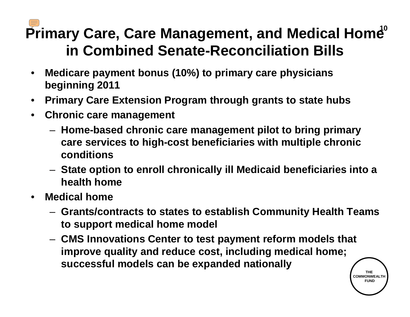# Primary Care, Care Management, and Medical Home  $^0$ **in Combined Senate-Reconciliation Bills**

- **Medicare payment bonus (10%) to primary care physicians beginning 2011**
- **Primary Care Extension Program through grants to state hubs**
- **Chronic care management**
	- **Home-based chronic care management pilot to bring primary care services to high-cost beneficiaries with multiple chronic conditions**
	- **State option to enroll chronically ill Medicaid beneficiaries into a health home**
- **Medical home**
	- **Grants/contracts to states to establish Community Health Teams to support medical home model**
	- **CMS Innovations Center to test payment reform models that improve quality and reduce cost, including medical home; successful models can be expanded nationally**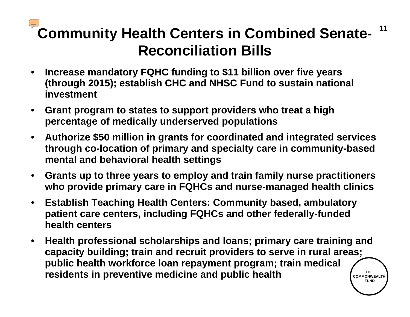## **Community Health Centers in Combined Senate-Reconciliation Bills**

- **Increase mandatory FQHC funding to \$11 billion over five years (through 2015); establish CHC and NHSC Fund to sustain national investment**
- **Grant program to states to support providers who treat a high percentage of medically underserved populations**
- **Authorize \$50 million in grants for coordinated and integrated services through co-location of primary and specialty care in community-based mental and behavioral health settings**
- **Grants up to three years to employ and train family nurse practitioners who provide primary care in FQHCs and nurse-managed health clinics**
- **Establish Teaching Health Centers: Community based, ambulatory patient care centers, including FQHCs and other federally-funded health centers**
- **THE COMMONWEALTHFUND**• **Health professional scholarships and loans; primary care training and capacity building; train and recruit providers to serve in rural areas; public health workforce loan repayment program; train medical residents in preventive medicine and public health**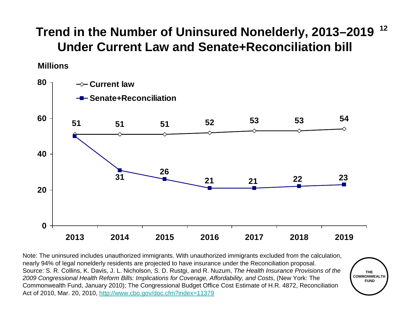#### **12Trend in the Number of Uninsured Nonelderly, 2013–2019 Under Current Law and Senate+Reconciliation bill**

#### **Millions**



Note: The uninsured includes unauthorized immigrants. With unauthorized immigrants excluded from the calculation, nearly 94% of legal nonelderly residents are projected to have insurance under the Reconciliation proposal. Source: S. R. Collins, K. Davis, J. L. Nicholson, S. D. Rustgi, and R. Nuzum, *The Health Insurance Provisions of the 2009 Congressional Health Reform Bills: Implications for Coverage, Affordability, and Costs*, (New York: The Commonwealth Fund, January 2010); The Congressional Budget Office Cost Estimate of H.R. 4872, Reconciliation Act of 2010, Mar. 20, 2010, <http://www.cbo.gov/doc.cfm?index=11379>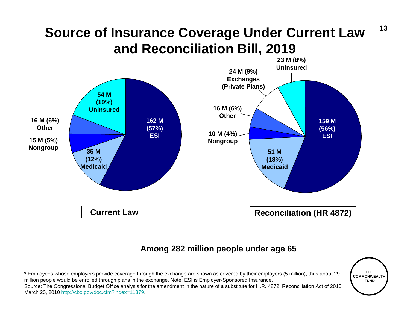### **Source of Insurance Coverage Under Current Law and Reconciliation Bill, 2019**



#### **Among 282 million people under age 65**

\* Employees whose employers provide coverage through the exchange are shown as covered by their employers (5 million), thus about 29 million people would be enrolled through plans in the exchange. Note: ESI is Employer-Sponsored Insurance. Source: The Congressional Budget Office analysis for the amendment in the nature of a substitute for H.R. 4872, Reconciliation Act of 2010, March 20, 2010<http://cbo.gov/doc.cfm?index=11379>.

**THE COMMONWEALTHFUND**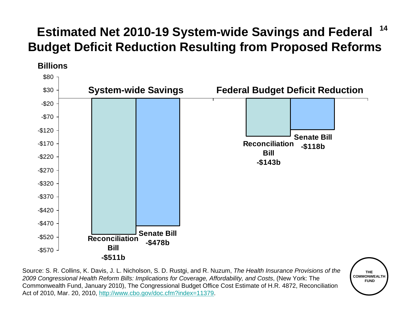#### **14Estimated Net 2010-19 System-wide Savings and Federal Budget Deficit Reduction Resulting from Proposed Reforms**





Source: S. R. Collins, K. Davis, J. L. Nicholson, S. D. Rustgi, and R. Nuzum, *The Health Insurance Provisions of the 2009 Congressional Health Reform Bills: Implications for Coverage, Affordability, and Costs*, (New York: The Commonwealth Fund, January 2010), The Congressional Budget Office Cost Estimate of H.R. 4872, Reconciliation Act of 2010, Mar. 20, 2010,<http://www.cbo.gov/doc.cfm?index=11379>.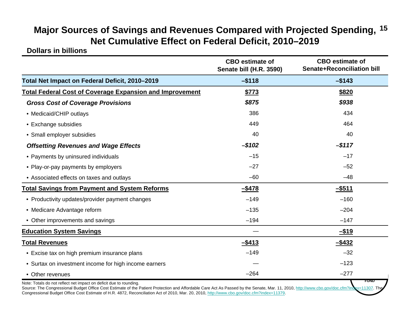#### **15 Major Sources of Savings and Revenues Compared with Projected Spending, Net Cumulative Effect on Federal Deficit, 2010–2019**

**Dollars in billions**

|                                                                   | <b>CBO</b> estimate of<br>Senate bill (H.R. 3590) | <b>CBO</b> estimate of<br><b>Senate+Reconciliation bill</b> |
|-------------------------------------------------------------------|---------------------------------------------------|-------------------------------------------------------------|
| Total Net Impact on Federal Deficit, 2010-2019                    | $-$ \$118                                         | $-$143$                                                     |
| <b>Total Federal Cost of Coverage Expansion and Improvement</b>   | \$773                                             | \$820                                                       |
| <b>Gross Cost of Coverage Provisions</b>                          | \$875                                             | \$938                                                       |
| • Medicaid/CHIP outlays                                           | 386                                               | 434                                                         |
| • Exchange subsidies                                              | 449                                               | 464                                                         |
| • Small employer subsidies                                        | 40                                                | 40                                                          |
| <b>Offsetting Revenues and Wage Effects</b>                       | $-$102$                                           | $-$ \$117                                                   |
| • Payments by uninsured individuals                               | $-15$                                             | $-17$                                                       |
| • Play-or-pay payments by employers                               | $-27$                                             | $-52$                                                       |
| • Associated effects on taxes and outlays                         | $-60$                                             | $-48$                                                       |
| <b>Total Savings from Payment and System Reforms</b>              | $-$ \$478                                         | $-$ \$511                                                   |
| • Productivity updates/provider payment changes                   | $-149$                                            | $-160$                                                      |
| • Medicare Advantage reform                                       | $-135$                                            | $-204$                                                      |
| • Other improvements and savings                                  | $-194$                                            | $-147$                                                      |
| <b>Education System Savings</b>                                   |                                                   | $-$ \$19                                                    |
| <b>Total Revenues</b>                                             | $-$ \$413                                         | $-$ \$432                                                   |
| • Excise tax on high premium insurance plans                      | $-149$                                            | $-32$                                                       |
| • Surtax on investment income for high income earners             |                                                   | $-123$                                                      |
| • Other revenues                                                  | $-264$                                            | $-277$                                                      |
| Note: Totale de not reflect not impost on deficit due to reunding |                                                   | FUND                                                        |

Note: Totals do not reflect net impact on deficit due to rounding.

Source: The Congressional Budget Office Cost Estimate of the Patient Protection and Affordable Care Act As Passed by the Senate, Mar. 11, 2010, <http://www.cbo.gov/doc.cfm?index=11307>. Congressional Budget Office Cost Estimate of H.R. 4872, Reconciliation Act of 2010, Mar. 20, 2010, <http://www.cbo.gov/doc.cfm?index=11379>.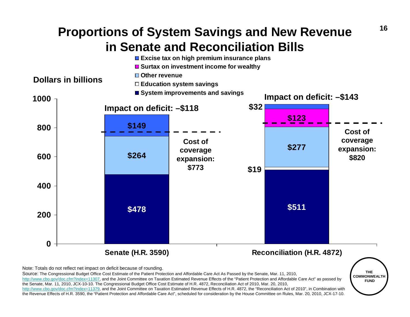### **Proportions of System Savings and New Revenue in Senate and Reconciliation Bills**



Note: Totals do not reflect net impact on deficit because of rounding.

Source: The Congressional Budget Office Cost Estimate of the Patient Protection and Affordable Care Act As Passed by the Senate, Mar. 11, 2010, <http://www.cbo.gov/doc.cfm?index=11307>, and the Joint Committee on Taxation Estimated Revenue Effects of the "Patient Protection and Affordable Care Act" as passed by the Senate, Mar. 11, 2010, JCX-10-10. The Congressional Budget Office Cost Estimate of H.R. 4872, Reconciliation Act of 2010, Mar. 20, 2010,

<http://www.cbo.gov/doc.cfm?index=11379>, and the Joint Committee on Taxation Estimated Revenue Effects of H.R. 4872, the "Reconciliation Act of 2010", in Combination with the Revenue Effects of H.R. 3590, the "Patient Protection and Affordable Care Act", scheduled for consideration by the House Committee on Rules, Mar. 20, 2010, JCX-17-10.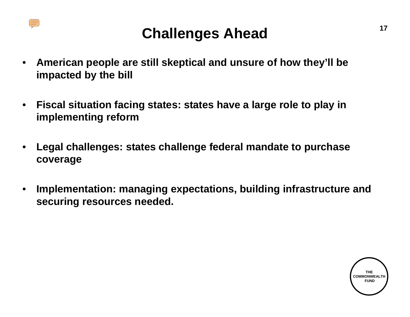

### **Challenges Ahead**

- **American people are still skeptical and unsure of how they'll be impacted by the bill**
- **Fiscal situation facing states: states have a large role to play in implementing reform**
- **Legal challenges: states challenge federal mandate to purchase coverage**
- **Implementation: managing expectations, building infrastructure and securing resources needed.**

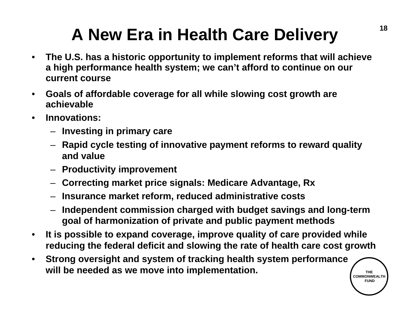# **A New Era in Health Care Delivery**

- **The U.S. has a historic opportunity to implement reforms that will achieve a high performance health system; we can't afford to continue on our current course**
- **Goals of affordable coverage for all while slowing cost growth are achievable**
- **Innovations:**
	- **Investing in primary care**
	- **Rapid cycle testing of innovative payment reforms to reward quality and value**
	- **Productivity improvement**
	- **Correcting market price signals: Medicare Advantage, Rx**
	- **Insurance market reform, reduced administrative costs**
	- **Independent commission charged with budget savings and long-term goal of harmonization of private and public payment methods**
- **It is possible to expand coverage, improve quality of care provided while reducing the federal deficit and slowing the rate of health care cost growth**
- **Strong oversight and system of tracking health system performance will be needed as we move into implementation.**